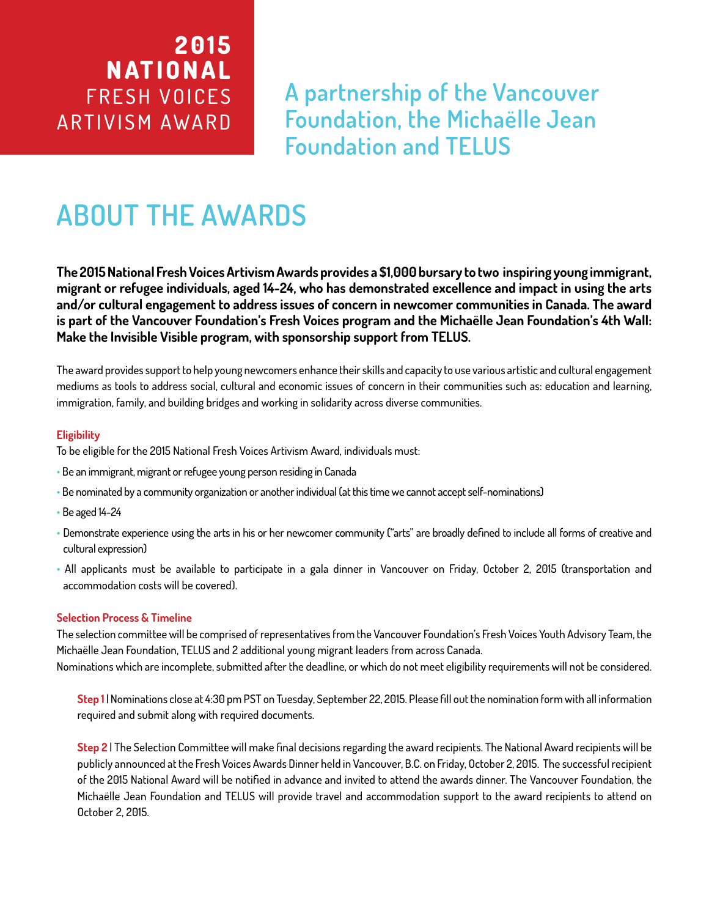# **2 0 1 5 NATIONAL** FRESH VOICES ARTIVISM AWARD

**A partnership of the Vancouver Foundation, the Michaëlle Jean Foundation and TELUS**

# **ABOUT THE AWARDS**

**The 2015 National Fresh Voices Artivism Awards provides a \$1,000 bursary to two inspiring young immigrant, migrant or refugee individuals, aged 14-24, who has demonstrated excellence and impact in using the arts and/or cultural engagement to address issues of concern in newcomer communities in Canada. The award is part of the Vancouver Foundation's Fresh Voices program and the Michaëlle Jean Foundation's 4th Wall: Make the Invisible Visible program, with sponsorship support from TELUS.** 

The award provides support to help young newcomers enhance their skills and capacity to use various artistic and cultural engagement mediums as tools to address social, cultural and economic issues of concern in their communities such as: education and learning, immigration, family, and building bridges and working in solidarity across diverse communities.

### **Eligibility**

To be eligible for the 2015 National Fresh Voices Artivism Award, individuals must:

- Be an immigrant, migrant or refugee young person residing in Canada
- Be nominated by a community organization or another individual (at this time we cannot accept self-nominations)
- Be aged 14-24
- Demonstrate experience using the arts in his or her newcomer community ("arts" are broadly defined to include all forms of creative and cultural expression)
- All applicants must be available to participate in a gala dinner in Vancouver on Friday, October 2, 2015 (transportation and accommodation costs will be covered).

### **Selection Process & Timeline**

The selection committee will be comprised of representatives from the Vancouver Foundation's Fresh Voices Youth Advisory Team, the Michaëlle Jean Foundation, TELUS and 2 additional young migrant leaders from across Canada. Nominations which are incomplete, submitted after the deadline, or which do not meet eligibility requirements will not be considered.

**Step 1** | Nominations close at 4:30 pm PST on Tuesday, September 22, 2015. Please fill out the nomination form with all information required and submit along with required documents.

**Step 2** | The Selection Committee will make final decisions regarding the award recipients. The National Award recipients will be publicly announced at the Fresh Voices Awards Dinner held in Vancouver, B.C. on Friday, October 2, 2015. The successful recipient of the 2015 National Award will be notified in advance and invited to attend the awards dinner. The Vancouver Foundation, the Michaëlle Jean Foundation and TELUS will provide travel and accommodation support to the award recipients to attend on October 2, 2015.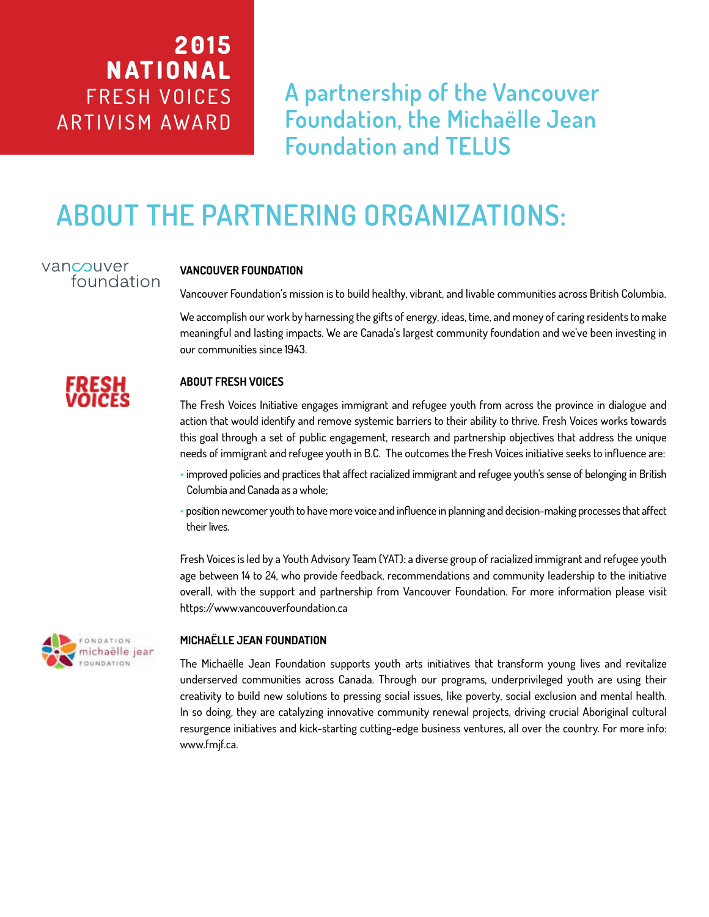# **2 0 1 5 NATIONAL** FRESH VOICES ARTIVISM AWARD

**A partnership of the Vancouver Foundation, the Michaëlle Jean Foundation and TELUS**

# **ABOUT THE PARTNERING ORGANIZATIONS:**

## vancouver foundation

### **VANCOUVER FOUNDATION**

Vancouver Foundation's mission is to build healthy, vibrant, and livable communities across British Columbia.

We accomplish our work by harnessing the gifts of energy, ideas, time, and money of caring residents to make meaningful and lasting impacts. We are Canada's largest community foundation and we've been investing in our communities since 1943.

### **ABOUT FRESH VOICES**

The Fresh Voices Initiative engages immigrant and refugee youth from across the province in dialogue and action that would identify and remove systemic barriers to their ability to thrive. Fresh Voices works towards this goal through a set of public engagement, research and partnership objectives that address the unique needs of immigrant and refugee youth in B.C. The outcomes the Fresh Voices initiative seeks to influence are:

- improved policies and practices that affect racialized immigrant and refugee youth's sense of belonging in British Columbia and Canada as a whole;
- position newcomer youth to have more voice and influence in planning and decision-making processes that affect their lives.

Fresh Voices is led by a Youth Advisory Team (YAT): a diverse group of racialized immigrant and refugee youth age between 14 to 24, who provide feedback, recommendations and community leadership to the initiative overall, with the support and partnership from Vancouver Foundation. For more information please visit https://www.vancouverfoundation.ca



### **MICHAËLLE JEAN FOUNDATION**

The Michaëlle Jean Foundation supports youth arts initiatives that transform young lives and revitalize underserved communities across Canada. Through our programs, underprivileged youth are using their creativity to build new solutions to pressing social issues, like poverty, social exclusion and mental health. In so doing, they are catalyzing innovative community renewal projects, driving crucial Aboriginal cultural resurgence initiatives and kick-starting cutting-edge business ventures, all over the country. For more info: www.fmjf.ca.